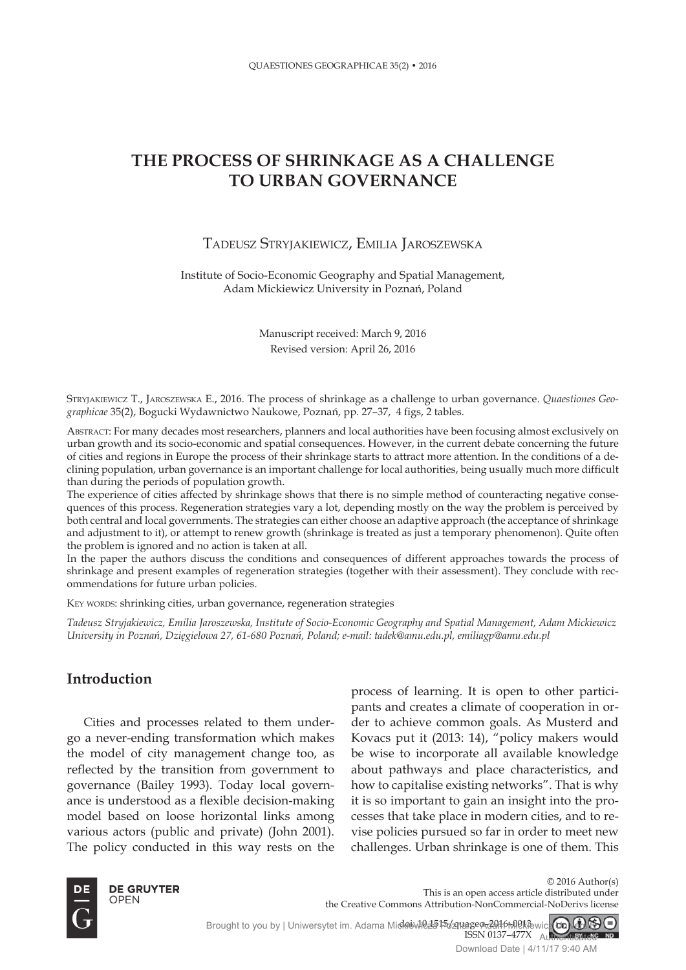# **THE PROCESS OF SHRINKAGE AS A CHALLENGE TO URBAN GOVERNANCE**

### TADEUSZ STRYJAKIEWICZ, EMILIA JAROSZEWSKA

Institute of Socio-Economic Geography and Spatial Management, Adam Mickiewicz University in Poznań, Poland

> Manuscript received: March 9, 2016 Revised version: April 26, 2016

STRYJAKIEWICZ T., JAROSZEWSKA E., 2016. The process of shrinkage as a challenge to urban governance. *Quaestiones Geographicae* 35(2), Bogucki Wydawnictwo Naukowe, Poznań, pp. 27–37, 4 figs, 2 tables.

ABSTRACT: For many decades most researchers, planners and local authorities have been focusing almost exclusively on urban growth and its socio-economic and spatial consequences. However, in the current debate concerning the future of cities and regions in Europe the process of their shrinkage starts to attract more attention. In the conditions of a declining population, urban governance is an important challenge for local authorities, being usually much more difficult than during the periods of population growth.

The experience of cities affected by shrinkage shows that there is no simple method of counteracting negative consequences of this process. Regeneration strategies vary a lot, depending mostly on the way the problem is perceived by both central and local governments. The strategies can either choose an adaptive approach (the acceptance of shrinkage and adjustment to it), or attempt to renew growth (shrinkage is treated as just a temporary phenomenon). Quite often the problem is ignored and no action is taken at all.

In the paper the authors discuss the conditions and consequences of different approaches towards the process of shrinkage and present examples of regeneration strategies (together with their assessment). They conclude with recommendations for future urban policies.

KEY WORDS: shrinking cities, urban governance, regeneration strategies

*Tadeusz Stryjakiewicz, Emilia Jaroszewska, Institute of Socio-Economic Geography and Spatial Management, Adam Mickiewicz University in Poznań, Dzięgielowa 27, 61-680 Poznań, Poland; e-mail: tadek@amu.edu.pl, emiliagp@amu.edu.pl*

### **Introduction**

Cities and processes related to them undergo a never-ending transformation which makes the model of city management change too, as reflected by the transition from government to governance (Bailey 1993). Today local governance is understood as a flexible decision-making model based on loose horizontal links among various actors (public and private) (John 2001). The policy conducted in this way rests on the process of learning. It is open to other participants and creates a climate of cooperation in order to achieve common goals. As Musterd and Kovacs put it (2013: 14), "policy makers would be wise to incorporate all available knowledge about pathways and place characteristics, and how to capitalise existing networks". That is why it is so important to gain an insight into the processes that take place in modern cities, and to revise policies pursued so far in order to meet new challenges. Urban shrinkage is one of them. This



© 2016 Author(s) This is an open access article distributed under the Creative Commons Attribution-NonCommercial-NoDerivs license

doi: NCL5T5/211age9<del>-2</del>016-0013 ISSN 0137–477X Brought to you by | Uniwersytet im. Adama Micklewicza Poznanego delkiewicz **CC) GAN** Authenticated

Download Date | 4/11/17 9:40 AM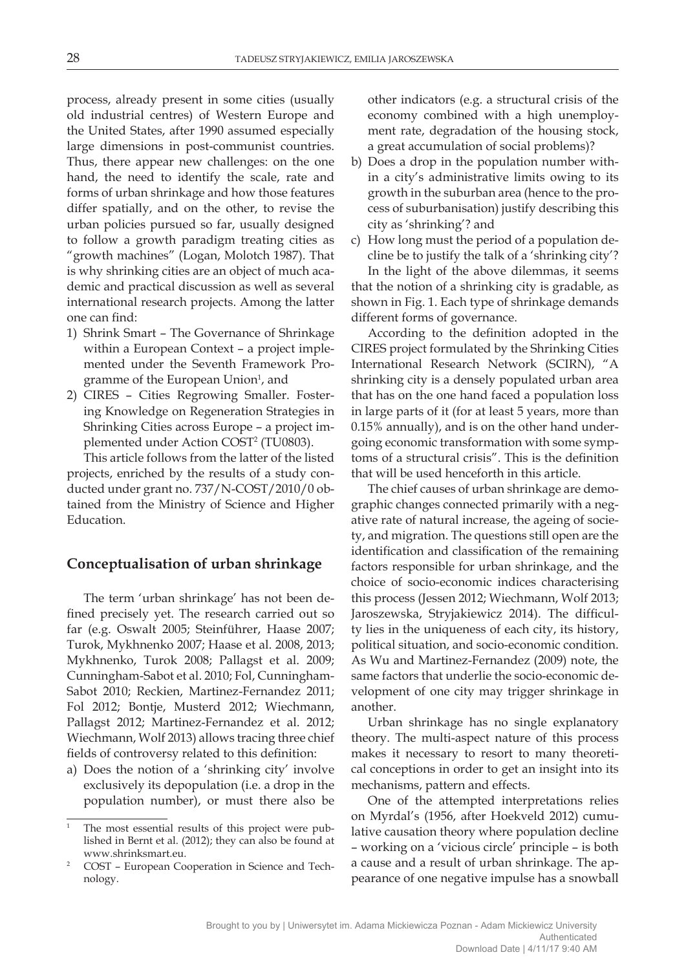process, already present in some cities (usually old industrial centres) of Western Europe and the United States, after 1990 assumed especially large dimensions in post-communist countries. Thus, there appear new challenges: on the one hand, the need to identify the scale, rate and forms of urban shrinkage and how those features differ spatially, and on the other, to revise the urban policies pursued so far, usually designed to follow a growth paradigm treating cities as "growth machines" (Logan, Molotch 1987). That is why shrinking cities are an object of much academic and practical discussion as well as several international research projects. Among the latter one can find:

- 1) Shrink Smart The Governance of Shrinkage within a European Context – a project implemented under the Seventh Framework Programme of the European Union<sup>1</sup>, and
- 2) CIRES Cities Regrowing Smaller. Fostering Knowledge on Regeneration Strategies in Shrinking Cities across Europe – a project implemented under Action COST2 (TU0803).

This article follows from the latter of the listed projects, enriched by the results of a study conducted under grant no. 737/N-COST/2010/0 obtained from the Ministry of Science and Higher Education.

### **Conceptualisation of urban shrinkage**

The term 'urban shrinkage' has not been defined precisely yet. The research carried out so far (e.g. Oswalt 2005; Steinführer, Haase 2007; Turok, Mykhnenko 2007; Haase et al. 2008, 2013; Mykhnenko, Turok 2008; Pallagst et al. 2009; Cunningham-Sabot et al. 2010; Fol, Cunningham-Sabot 2010; Reckien, Martinez-Fernandez 2011; Fol 2012; Bontje, Musterd 2012; Wiechmann, Pallagst 2012; Martinez-Fernandez et al. 2012; Wiechmann, Wolf 2013) allows tracing three chief fields of controversy related to this definition:

a) Does the notion of a 'shrinking city' involve exclusively its depopulation (i.e. a drop in the population number), or must there also be other indicators (e.g. a structural crisis of the economy combined with a high unemployment rate, degradation of the housing stock, a great accumulation of social problems)?

- b) Does a drop in the population number within a city's administrative limits owing to its growth in the suburban area (hence to the process of suburbanisation) justify describing this city as 'shrinking'? and
- c) How long must the period of a population decline be to justify the talk of a 'shrinking city'? In the light of the above dilemmas, it seems that the notion of a shrinking city is gradable, as shown in Fig. 1. Each type of shrinkage demands different forms of governance.

According to the definition adopted in the CIRES project formulated by the Shrinking Cities International Research Network (SCIRN), "A shrinking city is a densely populated urban area that has on the one hand faced a population loss in large parts of it (for at least 5 years, more than 0.15% annually), and is on the other hand undergoing economic transformation with some symptoms of a structural crisis". This is the definition that will be used henceforth in this article.

The chief causes of urban shrinkage are demographic changes connected primarily with a negative rate of natural increase, the ageing of society, and migration. The questions still open are the identification and classification of the remaining factors responsible for urban shrinkage, and the choice of socio-economic indices characterising this process (Jessen 2012; Wiechmann, Wolf 2013; Jaroszewska, Stryjakiewicz 2014). The difficulty lies in the uniqueness of each city, its history, political situation, and socio-economic condition. As Wu and Martinez-Fernandez (2009) note, the same factors that underlie the socio-economic development of one city may trigger shrinkage in another.

Urban shrinkage has no single explanatory theory. The multi-aspect nature of this process makes it necessary to resort to many theoretical conceptions in order to get an insight into its mechanisms, pattern and effects.

One of the attempted interpretations relies on Myrdal's (1956, after Hoekveld 2012) cumulative causation theory where population decline – working on a 'vicious circle' principle – is both a cause and a result of urban shrinkage. The appearance of one negative impulse has a snowball

The most essential results of this project were published in Bernt et al. (2012); they can also be found at www.shrinksmart.eu.

<sup>2</sup> COST – European Cooperation in Science and Technology.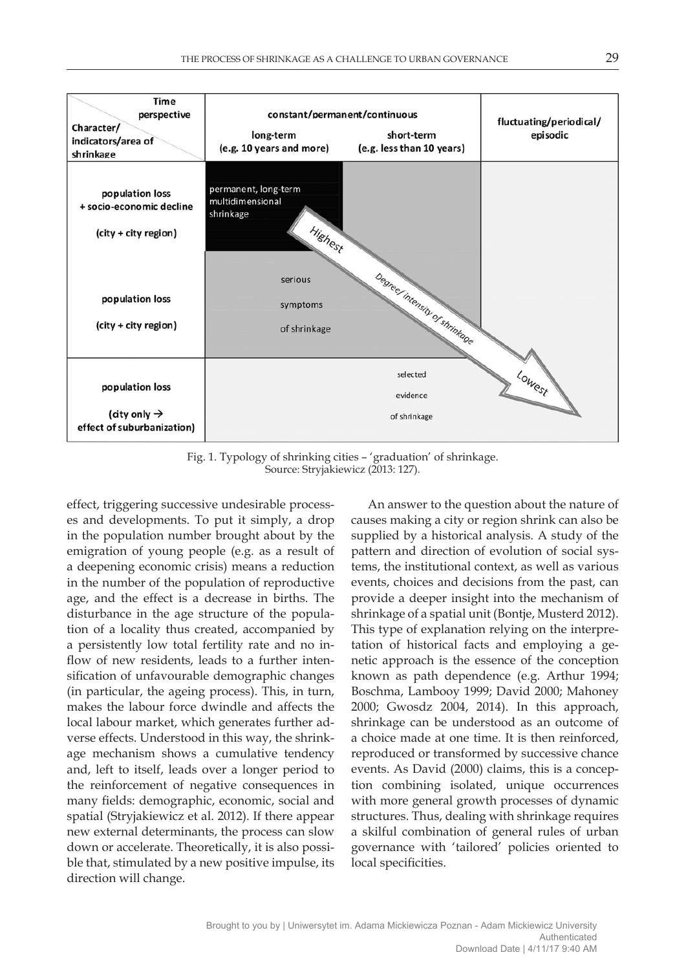

Fig. 1. Typology of shrinking cities – 'graduation' of shrinkage. Source: Stryjakiewicz (2013: 127).

effect, triggering successive undesirable processes and developments. To put it simply, a drop in the population number brought about by the emigration of young people (e.g. as a result of a deepening economic crisis) means a reduction in the number of the population of reproductive age, and the effect is a decrease in births. The disturbance in the age structure of the population of a locality thus created, accompanied by a persistently low total fertility rate and no inflow of new residents, leads to a further intensification of unfavourable demographic changes (in particular, the ageing process). This, in turn, makes the labour force dwindle and affects the local labour market, which generates further adverse effects. Understood in this way, the shrinkage mechanism shows a cumulative tendency and, left to itself, leads over a longer period to the reinforcement of negative consequences in many fields: demographic, economic, social and spatial (Stryjakiewicz et al. 2012). If there appear new external determinants, the process can slow down or accelerate. Theoretically, it is also possible that, stimulated by a new positive impulse, its direction will change.

An answer to the question about the nature of causes making a city or region shrink can also be supplied by a historical analysis. A study of the pattern and direction of evolution of social systems, the institutional context, as well as various events, choices and decisions from the past, can provide a deeper insight into the mechanism of shrinkage of a spatial unit (Bontje, Musterd 2012). This type of explanation relying on the interpretation of historical facts and employing a genetic approach is the essence of the conception known as path dependence (e.g. Arthur 1994; Boschma, Lambooy 1999; David 2000; Mahoney 2000; Gwosdz 2004, 2014). In this approach, shrinkage can be understood as an outcome of a choice made at one time. It is then reinforced, reproduced or transformed by successive chance events. As David (2000) claims, this is a conception combining isolated, unique occurrences with more general growth processes of dynamic structures. Thus, dealing with shrinkage requires a skilful combination of general rules of urban governance with 'tailored' policies oriented to local specificities.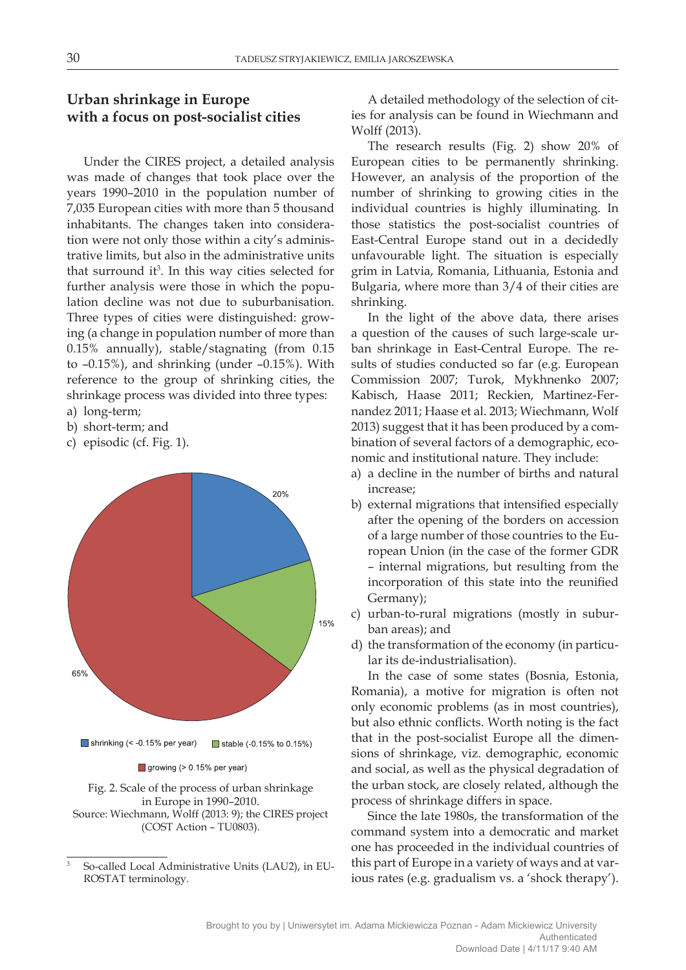# **Urban shrinkage in Europe with a focus on post-socialist cities**

Under the CIRES project, a detailed analysis was made of changes that took place over the years 1990–2010 in the population number of 7,035 European cities with more than 5 thousand inhabitants. The changes taken into consideration were not only those within a city's administrative limits, but also in the administrative units that surround it<sup>3</sup>. In this way cities selected for further analysis were those in which the population decline was not due to suburbanisation. Three types of cities were distinguished: growing (a change in population number of more than 0.15% annually), stable/stagnating (from 0.15 to –0.15%), and shrinking (under –0.15%). With reference to the group of shrinking cities, the shrinkage process was divided into three types:

- a) long-term;
- b) short-term; and
- c) episodic (cf. Fig. 1).



Fig. 2. Scale of the process of urban shrinkage in Europe in 1990–2010. Source: Wiechmann, Wolff (2013: 9); the CIRES project (COST Action – TU0803).

A detailed methodology of the selection of cities for analysis can be found in Wiechmann and Wolff (2013).

The research results (Fig. 2) show 20% of European cities to be permanently shrinking. However, an analysis of the proportion of the number of shrinking to growing cities in the individual countries is highly illuminating. In those statistics the post-socialist countries of East-Central Europe stand out in a decidedly unfavourable light. The situation is especially grim in Latvia, Romania, Lithuania, Estonia and Bulgaria, where more than 3/4 of their cities are shrinking.

In the light of the above data, there arises a question of the causes of such large-scale urban shrinkage in East-Central Europe. The results of studies conducted so far (e.g. European Commission 2007; Turok, Mykhnenko 2007; Kabisch, Haase 2011; Reckien, Martinez-Fernandez 2011; Haase et al. 2013; Wiechmann, Wolf 2013) suggest that it has been produced by a combination of several factors of a demographic, economic and institutional nature. They include:

- a) a decline in the number of births and natural increase;
- b) external migrations that intensified especially after the opening of the borders on accession of a large number of those countries to the European Union (in the case of the former GDR – internal migrations, but resulting from the incorporation of this state into the reunified Germany);
- c) urban-to-rural migrations (mostly in suburban areas); and
- d) the transformation of the economy (in particular its de-industrialisation).

In the case of some states (Bosnia, Estonia, Romania), a motive for migration is often not only economic problems (as in most countries), but also ethnic conflicts. Worth noting is the fact that in the post-socialist Europe all the dimensions of shrinkage, viz. demographic, economic and social, as well as the physical degradation of the urban stock, are closely related, although the process of shrinkage differs in space.

Since the late 1980s, the transformation of the command system into a democratic and market one has proceeded in the individual countries of this part of Europe in a variety of ways and at various rates (e.g. gradualism vs. a 'shock therapy').

<sup>3</sup> So-called Local Administrative Units (LAU2), in EU-ROSTAT terminology.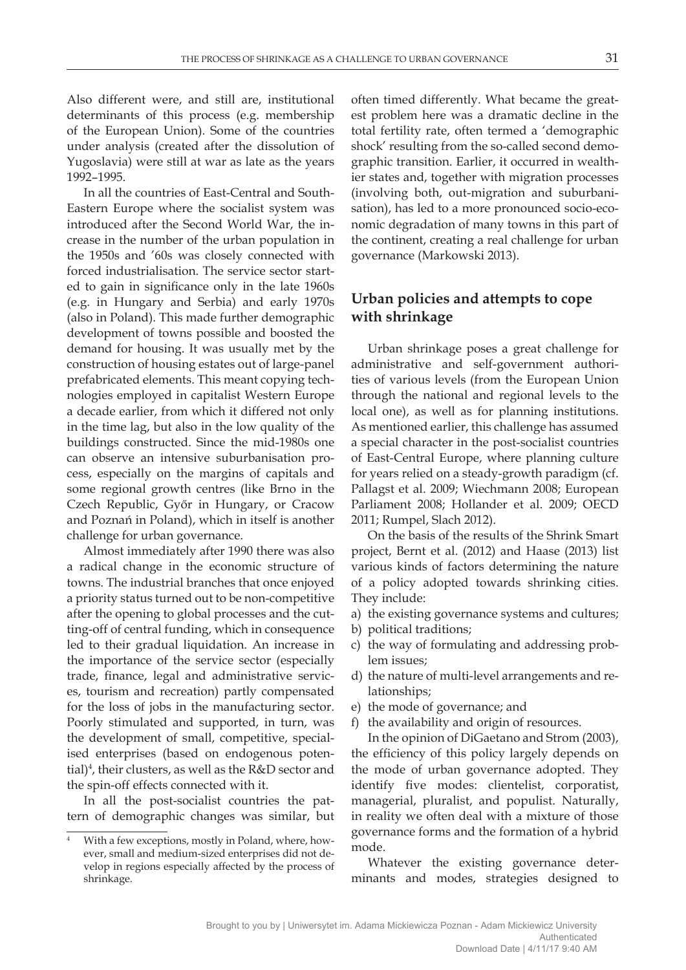Also different were, and still are, institutional determinants of this process (e.g. membership of the European Union). Some of the countries under analysis (created after the dissolution of Yugoslavia) were still at war as late as the years 1992–1995.

In all the countries of East-Central and South-Eastern Europe where the socialist system was introduced after the Second World War, the increase in the number of the urban population in the 1950s and '60s was closely connected with forced industrialisation. The service sector started to gain in significance only in the late 1960s (e.g. in Hungary and Serbia) and early 1970s (also in Poland). This made further demographic development of towns possible and boosted the demand for housing. It was usually met by the construction of housing estates out of large-panel prefabricated elements. This meant copying technologies employed in capitalist Western Europe a decade earlier, from which it differed not only in the time lag, but also in the low quality of the buildings constructed. Since the mid-1980s one can observe an intensive suburbanisation process, especially on the margins of capitals and some regional growth centres (like Brno in the Czech Republic, Győr in Hungary, or Cracow and Poznań in Poland), which in itself is another challenge for urban governance.

Almost immediately after 1990 there was also a radical change in the economic structure of towns. The industrial branches that once enjoyed a priority status turned out to be non-competitive after the opening to global processes and the cutting-off of central funding, which in consequence led to their gradual liquidation. An increase in the importance of the service sector (especially trade, finance, legal and administrative services, tourism and recreation) partly compensated for the loss of jobs in the manufacturing sector. Poorly stimulated and supported, in turn, was the development of small, competitive, specialised enterprises (based on endogenous potential)<sup>4</sup>, their clusters, as well as the  $R&D$  sector and the spin-off effects connected with it.

In all the post-socialist countries the pattern of demographic changes was similar, but

often timed differently. What became the greatest problem here was a dramatic decline in the total fertility rate, often termed a 'demographic shock' resulting from the so-called second demographic transition. Earlier, it occurred in wealthier states and, together with migration processes (involving both, out-migration and suburbanisation), has led to a more pronounced socio-economic degradation of many towns in this part of the continent, creating a real challenge for urban governance (Markowski 2013).

## **Urban policies and attempts to cope with shrinkage**

Urban shrinkage poses a great challenge for administrative and self-government authorities of various levels (from the European Union through the national and regional levels to the local one), as well as for planning institutions. As mentioned earlier, this challenge has assumed a special character in the post-socialist countries of East-Central Europe, where planning culture for years relied on a steady-growth paradigm (cf. Pallagst et al. 2009; Wiechmann 2008; European Parliament 2008; Hollander et al. 2009; OECD 2011; Rumpel, Slach 2012).

On the basis of the results of the Shrink Smart project, Bernt et al. (2012) and Haase (2013) list various kinds of factors determining the nature of a policy adopted towards shrinking cities. They include:

- a) the existing governance systems and cultures;
- b) political traditions;
- c) the way of formulating and addressing problem issues;
- d) the nature of multi-level arrangements and relationships;
- e) the mode of governance; and
- f) the availability and origin of resources.

In the opinion of DiGaetano and Strom (2003), the efficiency of this policy largely depends on the mode of urban governance adopted. They identify five modes: clientelist, corporatist, managerial, pluralist, and populist. Naturally, in reality we often deal with a mixture of those governance forms and the formation of a hybrid mode.

Whatever the existing governance determinants and modes, strategies designed to

<sup>4</sup> With a few exceptions, mostly in Poland, where, however, small and medium-sized enterprises did not develop in regions especially affected by the process of shrinkage.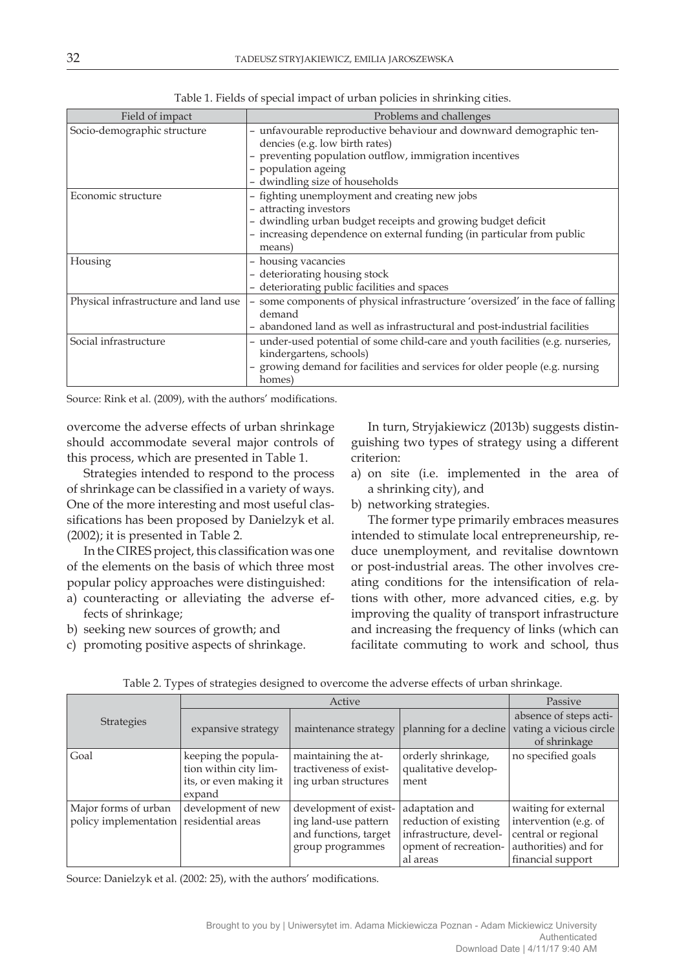| Field of impact                      | Problems and challenges                                                                                                                                                                                                     |  |  |
|--------------------------------------|-----------------------------------------------------------------------------------------------------------------------------------------------------------------------------------------------------------------------------|--|--|
| Socio-demographic structure          | - unfavourable reproductive behaviour and downward demographic ten-<br>dencies (e.g. low birth rates)<br>- preventing population outflow, immigration incentives<br>- population ageing<br>- dwindling size of households   |  |  |
| Economic structure                   | - fighting unemployment and creating new jobs<br>- attracting investors<br>- dwindling urban budget receipts and growing budget deficit<br>- increasing dependence on external funding (in particular from public<br>means) |  |  |
| Housing                              | - housing vacancies<br>- deteriorating housing stock<br>- deteriorating public facilities and spaces                                                                                                                        |  |  |
| Physical infrastructure and land use | - some components of physical infrastructure 'oversized' in the face of falling<br>demand<br>- abandoned land as well as infrastructural and post-industrial facilities                                                     |  |  |
| Social infrastructure                | - under-used potential of some child-care and youth facilities (e.g. nurseries,<br>kindergartens, schools)<br>- growing demand for facilities and services for older people (e.g. nursing<br>homes)                         |  |  |

Table 1. Fields of special impact of urban policies in shrinking cities.

Source: Rink et al. (2009), with the authors' modifications.

overcome the adverse effects of urban shrinkage should accommodate several major controls of this process, which are presented in Table 1.

Strategies intended to respond to the process of shrinkage can be classified in a variety of ways. One of the more interesting and most useful classifications has been proposed by Danielzyk et al. (2002); it is presented in Table 2.

In the CIRES project, this classification was one of the elements on the basis of which three most popular policy approaches were distinguished:

- a) counteracting or alleviating the adverse effects of shrinkage;
- b) seeking new sources of growth; and
- c) promoting positive aspects of shrinkage.

In turn, Stryjakiewicz (2013b) suggests distinguishing two types of strategy using a different criterion:

- a) on site (i.e. implemented in the area of a shrinking city), and
- b) networking strategies.

The former type primarily embraces measures intended to stimulate local entrepreneurship, reduce unemployment, and revitalise downtown or post-industrial areas. The other involves creating conditions for the intensification of relations with other, more advanced cities, e.g. by improving the quality of transport infrastructure and increasing the frequency of links (which can facilitate commuting to work and school, thus

|                                         | Active                           |                        |                        | Passive                                                           |
|-----------------------------------------|----------------------------------|------------------------|------------------------|-------------------------------------------------------------------|
| <b>Strategies</b>                       | expansive strategy               | maintenance strategy   | planning for a decline | absence of steps acti-<br>vating a vicious circle<br>of shrinkage |
| Goal                                    | keeping the popula-              | maintaining the at-    | orderly shrinkage,     | no specified goals                                                |
|                                         | tion within city lim-            | tractiveness of exist- | qualitative develop-   |                                                                   |
|                                         | its, or even making it<br>expand | ing urban structures   | ment                   |                                                                   |
| Major forms of urban                    | development of new               | development of exist-  | adaptation and         | waiting for external                                              |
| policy implementation residential areas |                                  | ing land-use pattern   | reduction of existing  | intervention (e.g. of                                             |
|                                         |                                  | and functions, target  | infrastructure, devel- | central or regional                                               |
|                                         |                                  | group programmes       | opment of recreation-  | authorities) and for                                              |
|                                         |                                  |                        | al areas               | financial support                                                 |

Table 2. Types of strategies designed to overcome the adverse effects of urban shrinkage.

Source: Danielzyk et al. (2002: 25), with the authors' modifications.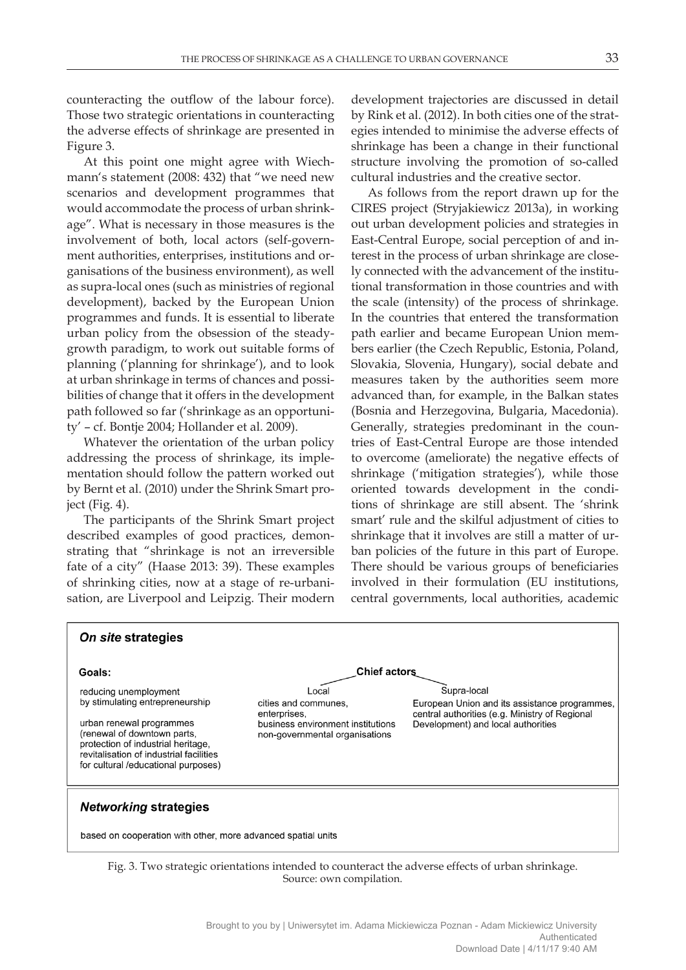counteracting the outflow of the labour force). Those two strategic orientations in counteracting the adverse effects of shrinkage are presented in Figure 3.

At this point one might agree with Wiechmann's statement (2008: 432) that "we need new scenarios and development programmes that would accommodate the process of urban shrinkage". What is necessary in those measures is the involvement of both, local actors (self-government authorities, enterprises, institutions and organisations of the business environment), as well as supra-local ones (such as ministries of regional development), backed by the European Union programmes and funds. It is essential to liberate urban policy from the obsession of the steadygrowth paradigm, to work out suitable forms of planning ('planning for shrinkage'), and to look at urban shrinkage in terms of chances and possibilities of change that it offers in the development path followed so far ('shrinkage as an opportunity' – cf. Bontje 2004; Hollander et al. 2009).

Whatever the orientation of the urban policy addressing the process of shrinkage, its implementation should follow the pattern worked out by Bernt et al. (2010) under the Shrink Smart project (Fig. 4).

The participants of the Shrink Smart project described examples of good practices, demonstrating that "shrinkage is not an irreversible fate of a city" (Haase 2013: 39). These examples of shrinking cities, now at a stage of re-urbanisation, are Liverpool and Leipzig. Their modern

On site strategies

development trajectories are discussed in detail by Rink et al. (2012). In both cities one of the strategies intended to minimise the adverse effects of shrinkage has been a change in their functional structure involving the promotion of so-called cultural industries and the creative sector.

As follows from the report drawn up for the CIRES project (Stryjakiewicz 2013a), in working out urban development policies and strategies in East-Central Europe, social perception of and interest in the process of urban shrinkage are closely connected with the advancement of the institutional transformation in those countries and with the scale (intensity) of the process of shrinkage. In the countries that entered the transformation path earlier and became European Union members earlier (the Czech Republic, Estonia, Poland, Slovakia, Slovenia, Hungary), social debate and measures taken by the authorities seem more advanced than, for example, in the Balkan states (Bosnia and Herzegovina, Bulgaria, Macedonia). Generally, strategies predominant in the countries of East-Central Europe are those intended to overcome (ameliorate) the negative effects of shrinkage ('mitigation strategies'), while those oriented towards development in the conditions of shrinkage are still absent. The 'shrink smart' rule and the skilful adjustment of cities to shrinkage that it involves are still a matter of urban policies of the future in this part of Europe. There should be various groups of beneficiaries involved in their formulation (EU institutions, central governments, local authorities, academic

Fig. 3. Two strategic orientations intended to counteract the adverse effects of urban shrinkage. Source: own compilation.

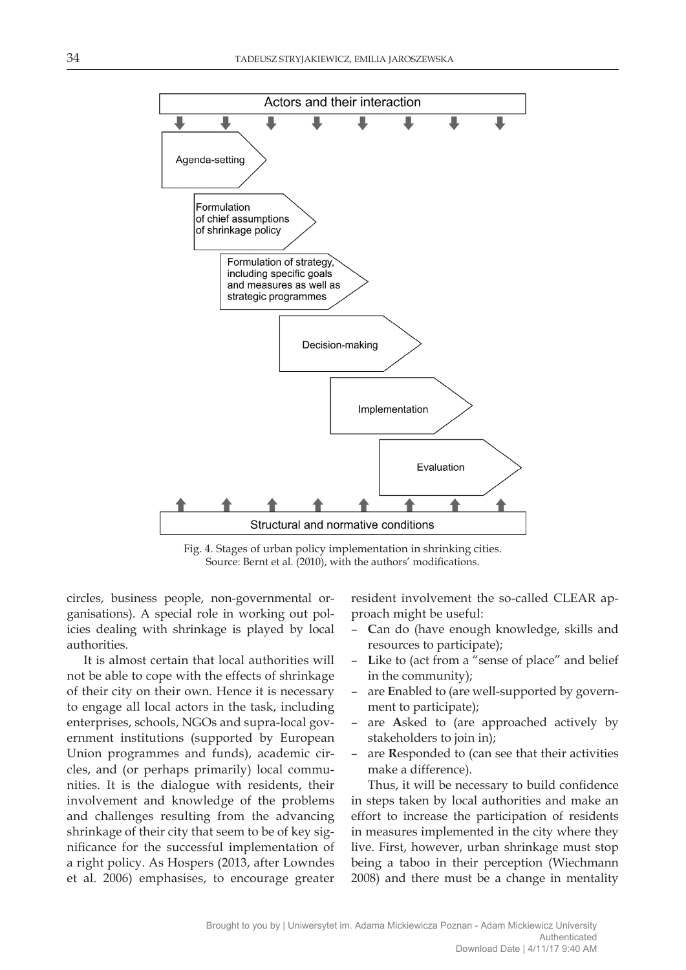

Fig. 4. Stages of urban policy implementation in shrinking cities. Source: Bernt et al. (2010), with the authors' modifications.

circles, business people, non-governmental organisations). A special role in working out policies dealing with shrinkage is played by local authorities.

It is almost certain that local authorities will not be able to cope with the effects of shrinkage of their city on their own. Hence it is necessary to engage all local actors in the task, including enterprises, schools, NGOs and supra-local government institutions (supported by European Union programmes and funds), academic circles, and (or perhaps primarily) local communities. It is the dialogue with residents, their involvement and knowledge of the problems and challenges resulting from the advancing shrinkage of their city that seem to be of key significance for the successful implementation of a right policy. As Hospers (2013, after Lowndes et al. 2006) emphasises, to encourage greater

resident involvement the so-called CLEAR approach might be useful:

- **C**an do (have enough knowledge, skills and resources to participate);
- **L**ike to (act from a "sense of place" and belief in the community);
- are **E**nabled to (are well-supported by government to participate);
- are **A**sked to (are approached actively by stakeholders to join in);
- are **R**esponded to (can see that their activities make a difference).

Thus, it will be necessary to build confidence in steps taken by local authorities and make an effort to increase the participation of residents in measures implemented in the city where they live. First, however, urban shrinkage must stop being a taboo in their perception (Wiechmann 2008) and there must be a change in mentality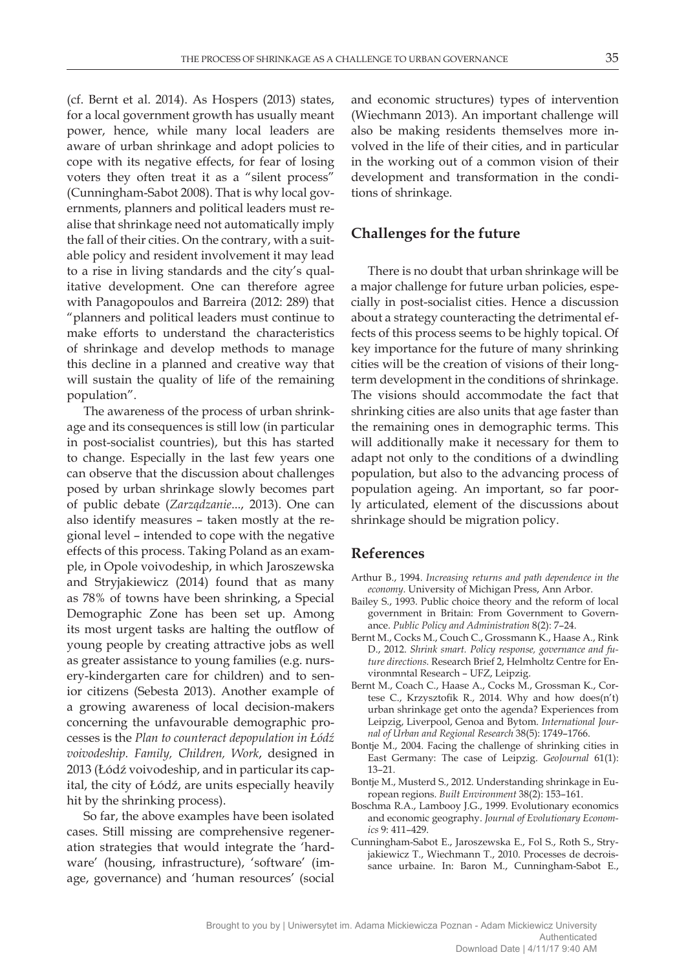(cf. Bernt et al. 2014). As Hospers (2013) states, for a local government growth has usually meant power, hence, while many local leaders are aware of urban shrinkage and adopt policies to cope with its negative effects, for fear of losing voters they often treat it as a "silent process" (Cunningham-Sabot 2008). That is why local governments, planners and political leaders must realise that shrinkage need not automatically imply the fall of their cities. On the contrary, with a suitable policy and resident involvement it may lead to a rise in living standards and the city's qualitative development. One can therefore agree with Panagopoulos and Barreira (2012: 289) that "planners and political leaders must continue to make efforts to understand the characteristics of shrinkage and develop methods to manage this decline in a planned and creative way that will sustain the quality of life of the remaining population".

The awareness of the process of urban shrinkage and its consequences is still low (in particular in post-socialist countries), but this has started to change. Especially in the last few years one can observe that the discussion about challenges posed by urban shrinkage slowly becomes part of public debate (*Zarządzanie*..., 2013). One can also identify measures – taken mostly at the regional level – intended to cope with the negative effects of this process. Taking Poland as an example, in Opole voivodeship, in which Jaroszewska and Stryjakiewicz (2014) found that as many as 78% of towns have been shrinking, a Special Demographic Zone has been set up. Among its most urgent tasks are halting the outflow of young people by creating attractive jobs as well as greater assistance to young families (e.g. nursery-kindergarten care for children) and to senior citizens (Sebesta 2013). Another example of a growing awareness of local decision-makers concerning the unfavourable demographic processes is the *Plan to counteract depopulation in Łódź voivodeship. Family, Children, Work*, designed in 2013 (Łódź voivodeship, and in particular its capital, the city of Łódź, are units especially heavily hit by the shrinking process).

So far, the above examples have been isolated cases. Still missing are comprehensive regeneration strategies that would integrate the 'hardware' (housing, infrastructure), 'software' (image, governance) and 'human resources' (social

and economic structures) types of intervention (Wiechmann 2013). An important challenge will also be making residents themselves more involved in the life of their cities, and in particular in the working out of a common vision of their development and transformation in the conditions of shrinkage.

#### **Challenges for the future**

There is no doubt that urban shrinkage will be a major challenge for future urban policies, especially in post-socialist cities. Hence a discussion about a strategy counteracting the detrimental effects of this process seems to be highly topical. Of key importance for the future of many shrinking cities will be the creation of visions of their longterm development in the conditions of shrinkage. The visions should accommodate the fact that shrinking cities are also units that age faster than the remaining ones in demographic terms. This will additionally make it necessary for them to adapt not only to the conditions of a dwindling population, but also to the advancing process of population ageing. An important, so far poorly articulated, element of the discussions about shrinkage should be migration policy.

#### **References**

- Arthur B., 1994. *Increasing returns and path dependence in the economy*. University of Michigan Press, Ann Arbor.
- Bailey S., 1993. Public choice theory and the reform of local government in Britain: From Government to Governance. *Public Policy and Administration* 8(2): 7–24.
- Bernt M., Cocks M., Couch C., Grossmann K., Haase A., Rink D., 2012. *Shrink smart. Policy response, governance and future directions.* Research Brief 2, Helmholtz Centre for Environmntal Research – UFZ, Leipzig.
- Bernt M., Coach C., Haase A., Cocks M., Grossman K., Cortese C., Krzysztofik R., 2014. Why and how does(n't) urban shrinkage get onto the agenda? Experiences from Leipzig, Liverpool, Genoa and Bytom. *International Journal of Urban and Regional Research* 38(5): 1749–1766.
- Bontje M., 2004. Facing the challenge of shrinking cities in East Germany: The case of Leipzig. *GeoJournal* 61(1): 13–21.
- Bontje M., Musterd S., 2012. Understanding shrinkage in European regions. *Built Environment* 38(2): 153–161.
- Boschma R.A., Lambooy J.G., 1999. Evolutionary economics and economic geography. *Journal of Evolutionary Economics* 9: 411–429.
- Cunningham-Sabot E., Jaroszewska E., Fol S., Roth S., Stryjakiewicz T., Wiechmann T., 2010. Processes de decroissance urbaine. In: Baron M., Cunningham-Sabot E.,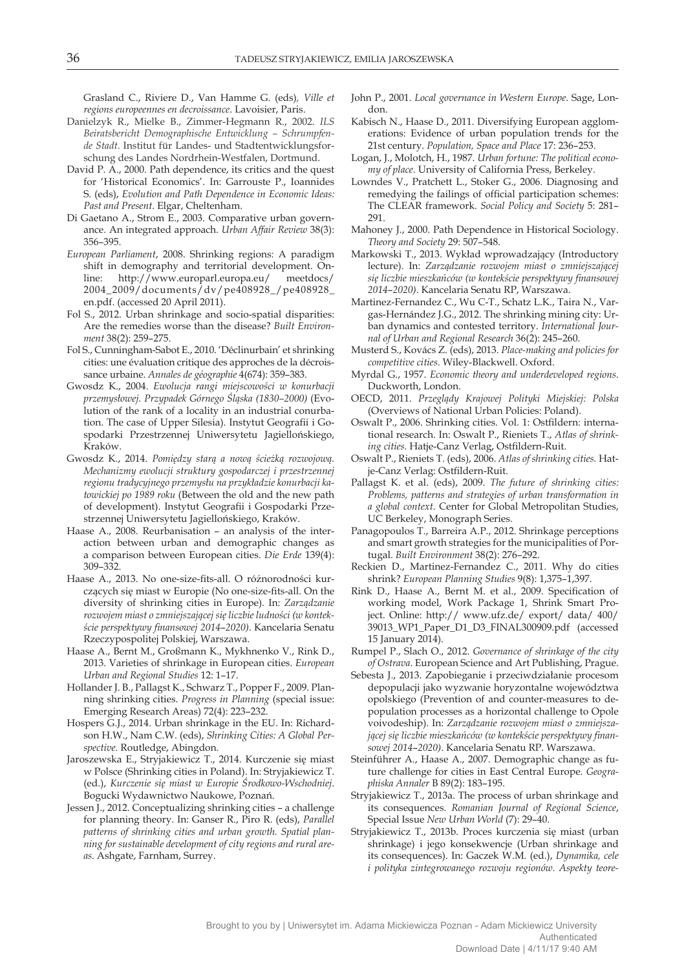Grasland C., Riviere D., Van Hamme G. (eds)*, Ville et regions europeennes en decroissance*. Lavoisier, Paris.

- Danielzyk R., Mielke B., Zimmer-Hegmann R., 2002. *ILS Beiratsbericht Demographische Entwicklung – Schrumpfende Stadt*. Institut für Landes- und Stadtentwicklungsforschung des Landes Nordrhein-Westfalen, Dortmund.
- David P. A., 2000. Path dependence, its critics and the quest for 'Historical Economics'. In: Garrouste P., Ioannides S. (eds), *Evolution and Path Dependence in Economic Ideas: Past and Present*. Elgar, Cheltenham.
- Di Gaetano A., Strom E., 2003. Comparative urban governance. An integrated approach. *Urban Affair Review* 38(3): 356–395.
- *European Parliament*, 2008. Shrinking regions: A paradigm shift in demography and territorial development. On-<br>line: http://www.europarl.europa.eu/ meetdocs/ line: http://www.europarl.europa.eu/ 2004\_2009/documents/dv/pe408928\_/pe408928\_ en.pdf. (accessed 20 April 2011).
- Fol S., 2012. Urban shrinkage and socio-spatial disparities: Are the remedies worse than the disease? *Built Environment* 38(2): 259–275.
- Fol S., Cunningham-Sabot E., 2010. 'Déclinurbain' et shrinking cities: une évaluation critique des approches de la décroissance urbaine. *Annales de géographie* 4(674): 359–383.
- Gwosdz K., 2004. *Ewolucja rangi miejscowości w konurbacji przemysłowej. Przypadek Górnego Śląska (1830–2000)* (Evolution of the rank of a locality in an industrial conurbation. The case of Upper Silesia). Instytut Geografii i Gospodarki Przestrzennej Uniwersytetu Jagiellońskiego, Kraków.
- Gwosdz K., 2014. *Pomiędzy starą a nową ścieżką rozwojową. Mechanizmy ewolucji struktury gospodarczej i przestrzennej regionu tradycyjnego przemysłu na przykładzie konurbacji katowickiej po 1989 roku* (Between the old and the new path of development). Instytut Geografii i Gospodarki Przestrzennej Uniwersytetu Jagiellońskiego, Kraków.
- Haase A., 2008. Reurbanisation an analysis of the interaction between urban and demographic changes as a comparison between European cities. *Die Erde* 139(4): 309–332.
- Haase A., 2013. No one-size-fits-all. O różnorodności kurczących się miast w Europie (No one-size-fits-all. On the diversity of shrinking cities in Europe). In: *Zarządzanie rozwojem miast o zmniejszającej się liczbie ludności (w kontekście perspektywy finansowej 2014*–*2020)*. Kancelaria Senatu Rzeczypospolitej Polskiej, Warszawa.
- Haase A., Bernt M., Großmann K., Mykhnenko V., Rink D., 2013. Varieties of shrinkage in European cities. *European Urban and Regional Studies* 12: 1–17.
- Hollander J. B., Pallagst K., Schwarz T., Popper F., 2009. Planning shrinking cities. *Progress in Planning* (special issue: Emerging Research Areas) 72(4): 223–232.
- Hospers G.J., 2014. Urban shrinkage in the EU. In: Richardson H.W., Nam C.W. (eds), *Shrinking Cities: A Global Perspective.* Routledge, Abingdon.
- Jaroszewska E., Stryjakiewicz T., 2014. Kurczenie się miast w Polsce (Shrinking cities in Poland). In: Stryjakiewicz T. (ed.), *Kurczenie się miast w Europie Środkowo-Wschodniej*. Bogucki Wydawnictwo Naukowe, Poznań.
- Jessen J., 2012. Conceptualizing shrinking cities a challenge for planning theory. In: Ganser R., Piro R. (eds), *Parallel patterns of shrinking cities and urban growth. Spatial planning for sustainable development of city regions and rural areas*. Ashgate, Farnham, Surrey.
- John P., 2001. *Local governance in Western Europe*. Sage, London.
- Kabisch N., Haase D., 2011. Diversifying European agglomerations: Evidence of urban population trends for the 21st century. *Population, Space and Place* 17: 236–253.
- Logan, J., Molotch, H., 1987. *Urban fortune: The political economy of place.* University of California Press, Berkeley.
- Lowndes V., Pratchett L., Stoker G., 2006. Diagnosing and remedying the failings of official participation schemes: The CLEAR framework. *Social Policy and Society* 5: 281– 291.
- Mahoney J., 2000. Path Dependence in Historical Sociology. *Theory and Society* 29: 507–548.
- Markowski T., 2013. Wykład wprowadzający (Introductory lecture). In: *Zarządzanie rozwojem miast o zmniejszającej się liczbie mieszkańców (w kontekście perspektywy finansowej 2014*–*2020)*. Kancelaria Senatu RP, Warszawa.
- Martinez-Fernandez C., Wu C-T., Schatz L.K., Taira N., Vargas-Hernández J.G., 2012. The shrinking mining city: Urban dynamics and contested territory. *International Journal of Urban and Regional Research* 36(2): 245–260.
- Musterd S., Kovács Z. (eds), 2013. *Place-making and policies for competitive cities*. Wiley-Blackwell. Oxford.
- Myrdal G., 1957. *Economic theory and underdeveloped regions*. Duckworth, London.
- OECD, 2011. *Przeglądy Krajowej Polityki Miejskiej: Polska* (Overviews of National Urban Policies: Poland).
- Oswalt P., 2006. Shrinking cities. Vol. 1: Ostfildern: international research. In: Oswalt P., Rieniets T., *Atlas of shrinking cities*. Hatje-Canz Verlag, Ostfildern-Ruit.
- Oswalt P., Rieniets T. (eds), 2006. *Atlas of shrinking cities.* Hatje-Canz Verlag: Ostfildern-Ruit.
- Pallagst K. et al. (eds), 2009. *The future of shrinking cities: Problems, patterns and strategies of urban transformation in a global context*. Center for Global Metropolitan Studies, UC Berkeley, Monograph Series.
- Panagopoulos T., Barreira A.P., 2012. Shrinkage perceptions and smart growth strategies for the municipalities of Portugal. *Built Environment* 38(2): 276–292.
- Reckien D., Martinez-Fernandez C., 2011. Why do cities shrink? *European Planning Studies* 9(8): 1,375–1,397.
- Rink D., Haase A., Bernt M. et al., 2009. Specification of working model, Work Package 1, Shrink Smart Project. Online: http:// www.ufz.de/ export/ data/ 400/ 39013\_WP1\_Paper\_D1\_D3\_FINAL300909.pdf (accessed 15 January 2014).
- Rumpel P., Slach O., 2012. *Governance of shrinkage of the city of Ostrava*. European Science and Art Publishing, Prague.
- Sebesta J., 2013. Zapobieganie i przeciwdziałanie procesom depopulacji jako wyzwanie horyzontalne województwa opolskiego (Prevention of and counter-measures to depopulation processes as a horizontal challenge to Opole voivodeship). In: *Zarządzanie rozwojem miast o zmniejszającej się liczbie mieszkańców (w kontekście perspektywy finansowej 2014*–*2020)*. Kancelaria Senatu RP. Warszawa.
- Steinführer A., Haase A., 2007. Demographic change as future challenge for cities in East Central Europe. *Geographiska Annaler* B 89(2): 183–195.
- Stryjakiewicz T., 2013a. The process of urban shrinkage and its consequences. *Romanian Journal of Regional Science*, Special Issue *New Urban World* (7): 29–40.
- Stryjakiewicz T., 2013b. Proces kurczenia się miast (urban shrinkage) i jego konsekwencje (Urban shrinkage and its consequences). In: Gaczek W.M. (ed.), *Dynamika, cele i polityka zintegrowanego rozwoju regionów. Aspekty teore-*